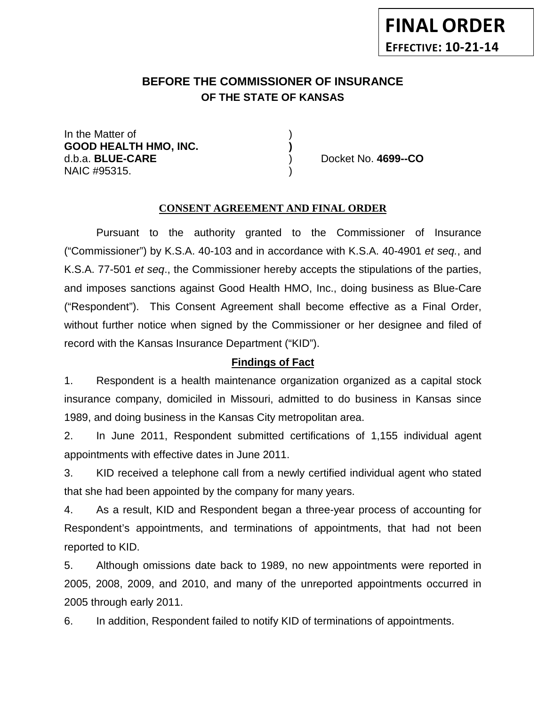# **BEFORE THE COMMISSIONER OF INSURANCE OF THE STATE OF KANSAS**

In the Matter of ) **GOOD HEALTH HMO, INC. )** d.b.a. **BLUE-CARE** ) Docket No. **4699--CO** NAIC #95315.

#### **CONSENT AGREEMENT AND FINAL ORDER**

Pursuant to the authority granted to the Commissioner of Insurance ("Commissioner") by K.S.A. 40-103 and in accordance with K.S.A. 40-4901 *et seq.*, and K.S.A. 77-501 *et seq*., the Commissioner hereby accepts the stipulations of the parties, and imposes sanctions against Good Health HMO, Inc., doing business as Blue-Care ("Respondent"). This Consent Agreement shall become effective as a Final Order, without further notice when signed by the Commissioner or her designee and filed of record with the Kansas Insurance Department ("KID").

#### **Findings of Fact**

1. Respondent is a health maintenance organization organized as a capital stock insurance company, domiciled in Missouri, admitted to do business in Kansas since 1989, and doing business in the Kansas City metropolitan area.

2. In June 2011, Respondent submitted certifications of 1,155 individual agent appointments with effective dates in June 2011.

3. KID received a telephone call from a newly certified individual agent who stated that she had been appointed by the company for many years.

4. As a result, KID and Respondent began a three-year process of accounting for Respondent's appointments, and terminations of appointments, that had not been reported to KID.

5. Although omissions date back to 1989, no new appointments were reported in 2005, 2008, 2009, and 2010, and many of the unreported appointments occurred in 2005 through early 2011.

6. In addition, Respondent failed to notify KID of terminations of appointments.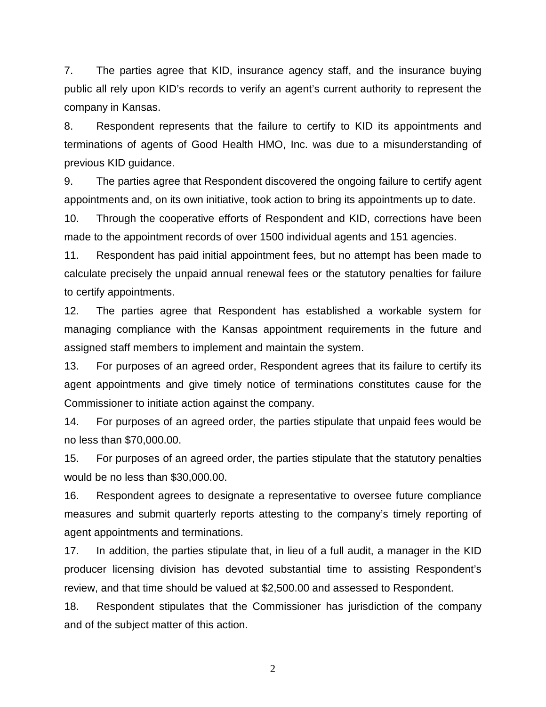7. The parties agree that KID, insurance agency staff, and the insurance buying public all rely upon KID's records to verify an agent's current authority to represent the company in Kansas.

8. Respondent represents that the failure to certify to KID its appointments and terminations of agents of Good Health HMO, Inc. was due to a misunderstanding of previous KID guidance.

9. The parties agree that Respondent discovered the ongoing failure to certify agent appointments and, on its own initiative, took action to bring its appointments up to date.

10. Through the cooperative efforts of Respondent and KID, corrections have been made to the appointment records of over 1500 individual agents and 151 agencies.

11. Respondent has paid initial appointment fees, but no attempt has been made to calculate precisely the unpaid annual renewal fees or the statutory penalties for failure to certify appointments.

12. The parties agree that Respondent has established a workable system for managing compliance with the Kansas appointment requirements in the future and assigned staff members to implement and maintain the system.

13. For purposes of an agreed order, Respondent agrees that its failure to certify its agent appointments and give timely notice of terminations constitutes cause for the Commissioner to initiate action against the company.

14. For purposes of an agreed order, the parties stipulate that unpaid fees would be no less than \$70,000.00.

15. For purposes of an agreed order, the parties stipulate that the statutory penalties would be no less than \$30,000.00.

16. Respondent agrees to designate a representative to oversee future compliance measures and submit quarterly reports attesting to the company's timely reporting of agent appointments and terminations.

17. In addition, the parties stipulate that, in lieu of a full audit, a manager in the KID producer licensing division has devoted substantial time to assisting Respondent's review, and that time should be valued at \$2,500.00 and assessed to Respondent.

18. Respondent stipulates that the Commissioner has jurisdiction of the company and of the subject matter of this action.

2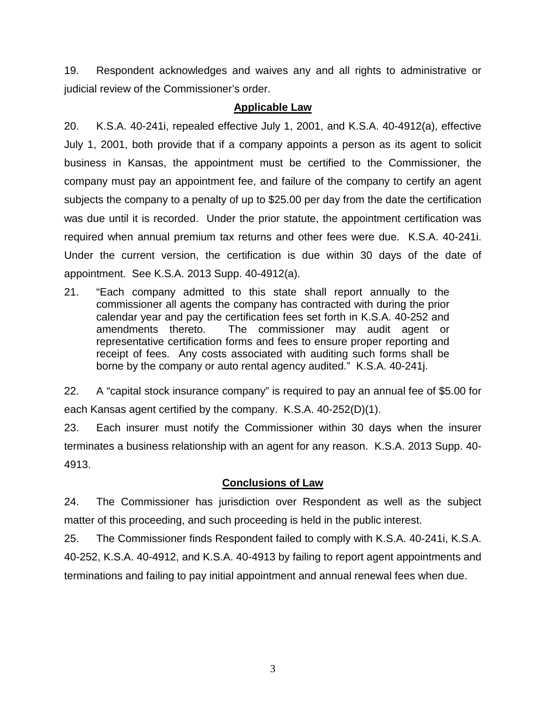19. Respondent acknowledges and waives any and all rights to administrative or judicial review of the Commissioner's order.

### **Applicable Law**

20. K.S.A. 40-241i, repealed effective July 1, 2001, and K.S.A. 40-4912(a), effective July 1, 2001, both provide that if a company appoints a person as its agent to solicit business in Kansas, the appointment must be certified to the Commissioner, the company must pay an appointment fee, and failure of the company to certify an agent subjects the company to a penalty of up to \$25.00 per day from the date the certification was due until it is recorded. Under the prior statute, the appointment certification was required when annual premium tax returns and other fees were due. K.S.A. 40-241i. Under the current version, the certification is due within 30 days of the date of appointment. See K.S.A. 2013 Supp. 40-4912(a).

21. "Each company admitted to this state shall report annually to the commissioner all agents the company has contracted with during the prior calendar year and pay the certification fees set forth in K.S.A. 40-252 and amendments thereto. The commissioner may audit agent or representative certification forms and fees to ensure proper reporting and receipt of fees. Any costs associated with auditing such forms shall be borne by the company or auto rental agency audited." K.S.A. 40-241j.

22. A "capital stock insurance company" is required to pay an annual fee of \$5.00 for each Kansas agent certified by the company. K.S.A. 40-252(D)(1).

23. Each insurer must notify the Commissioner within 30 days when the insurer terminates a business relationship with an agent for any reason. K.S.A. 2013 Supp. 40- 4913.

# **Conclusions of Law**

24. The Commissioner has jurisdiction over Respondent as well as the subject matter of this proceeding, and such proceeding is held in the public interest.

25. The Commissioner finds Respondent failed to comply with K.S.A. 40-241i, K.S.A. 40-252, K.S.A. 40-4912, and K.S.A. 40-4913 by failing to report agent appointments and terminations and failing to pay initial appointment and annual renewal fees when due.

3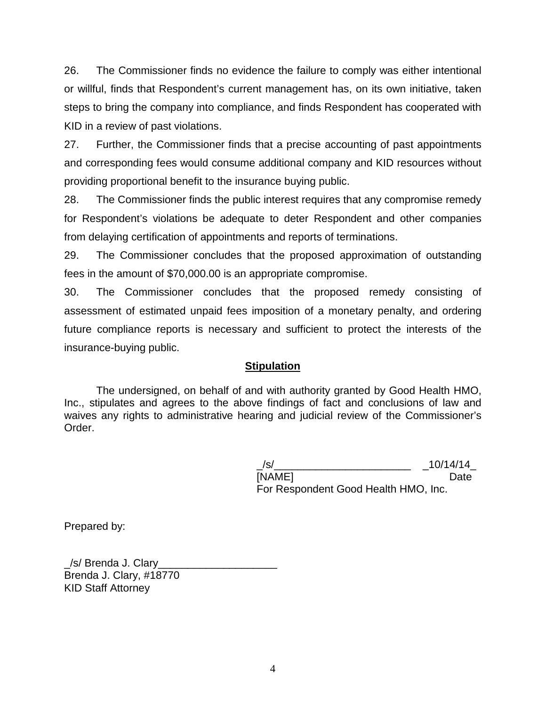26. The Commissioner finds no evidence the failure to comply was either intentional or willful, finds that Respondent's current management has, on its own initiative, taken steps to bring the company into compliance, and finds Respondent has cooperated with KID in a review of past violations.

27. Further, the Commissioner finds that a precise accounting of past appointments and corresponding fees would consume additional company and KID resources without providing proportional benefit to the insurance buying public.

28. The Commissioner finds the public interest requires that any compromise remedy for Respondent's violations be adequate to deter Respondent and other companies from delaying certification of appointments and reports of terminations.

29. The Commissioner concludes that the proposed approximation of outstanding fees in the amount of \$70,000.00 is an appropriate compromise.

30. The Commissioner concludes that the proposed remedy consisting of assessment of estimated unpaid fees imposition of a monetary penalty, and ordering future compliance reports is necessary and sufficient to protect the interests of the insurance-buying public.

# **Stipulation**

The undersigned, on behalf of and with authority granted by Good Health HMO, Inc., stipulates and agrees to the above findings of fact and conclusions of law and waives any rights to administrative hearing and judicial review of the Commissioner's Order.

| /s/                                  | 10/14/14 |
|--------------------------------------|----------|
| [NAME]                               | Date     |
| For Respondent Good Health HMO, Inc. |          |

Prepared by:

\_/s/ Brenda J. Clary\_\_\_\_\_\_\_\_\_\_\_\_\_\_\_\_\_\_\_\_ Brenda J. Clary, #18770 KID Staff Attorney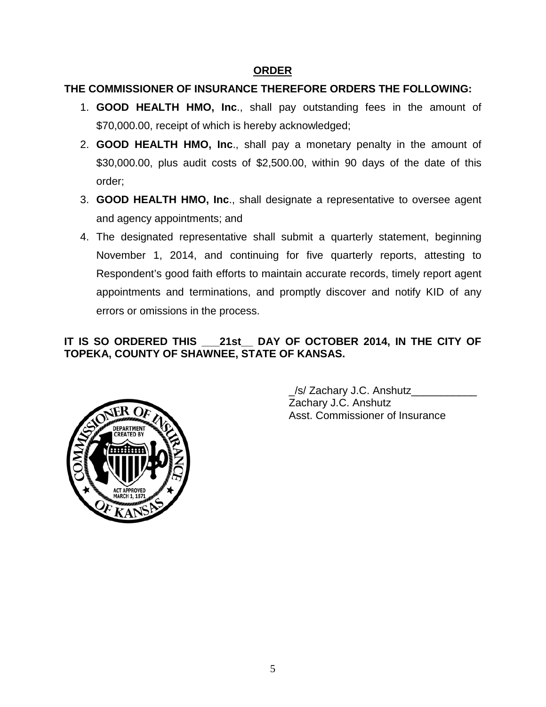### **ORDER**

### **THE COMMISSIONER OF INSURANCE THEREFORE ORDERS THE FOLLOWING:**

- 1. **GOOD HEALTH HMO, Inc**., shall pay outstanding fees in the amount of \$70,000.00, receipt of which is hereby acknowledged;
- 2. **GOOD HEALTH HMO, Inc**., shall pay a monetary penalty in the amount of \$30,000.00, plus audit costs of \$2,500.00, within 90 days of the date of this order;
- 3. **GOOD HEALTH HMO, Inc**., shall designate a representative to oversee agent and agency appointments; and
- 4. The designated representative shall submit a quarterly statement, beginning November 1, 2014, and continuing for five quarterly reports, attesting to Respondent's good faith efforts to maintain accurate records, timely report agent appointments and terminations, and promptly discover and notify KID of any errors or omissions in the process.

# **IT IS SO ORDERED THIS \_\_\_21st\_\_ DAY OF OCTOBER 2014, IN THE CITY OF TOPEKA, COUNTY OF SHAWNEE, STATE OF KANSAS.**



\_/s/ Zachary J.C. Anshutz\_\_\_\_\_\_\_\_\_\_\_ Zachary J.C. Anshutz Asst. Commissioner of Insurance